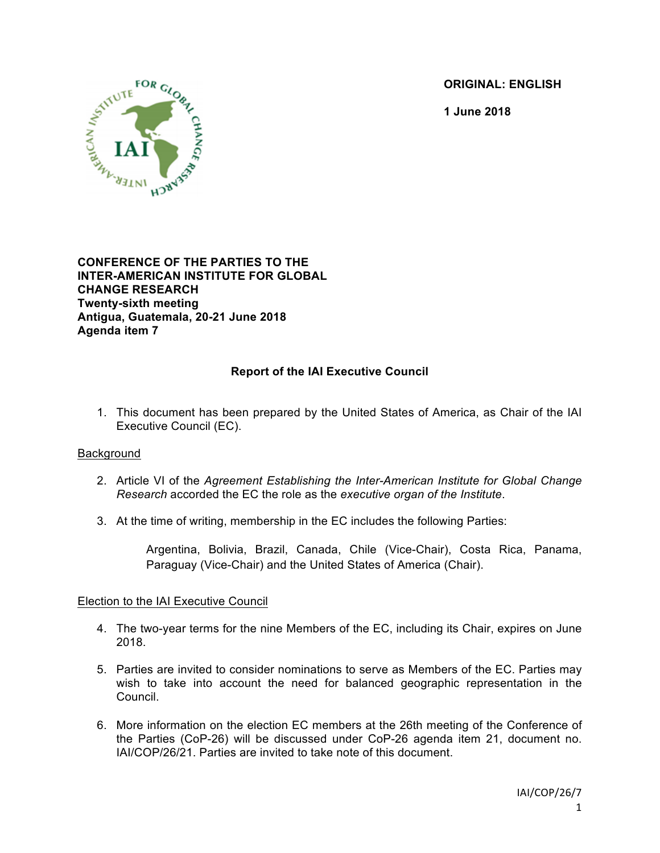**ORIGINAL: ENGLISH**

**1 June 2018**



**CONFERENCE OF THE PARTIES TO THE INTER-AMERICAN INSTITUTE FOR GLOBAL CHANGE RESEARCH Twenty-sixth meeting Antigua, Guatemala, 20-21 June 2018 Agenda item 7**

# **Report of the IAI Executive Council**

1. This document has been prepared by the United States of America, as Chair of the IAI Executive Council (EC).

#### Background

- 2. Article VI of the *Agreement Establishing the Inter-American Institute for Global Change Research* accorded the EC the role as the *executive organ of the Institute*.
- 3. At the time of writing, membership in the EC includes the following Parties:

Argentina, Bolivia, Brazil, Canada, Chile (Vice-Chair), Costa Rica, Panama, Paraguay (Vice-Chair) and the United States of America (Chair).

### Election to the IAI Executive Council

- 4. The two-year terms for the nine Members of the EC, including its Chair, expires on June 2018.
- 5. Parties are invited to consider nominations to serve as Members of the EC. Parties may wish to take into account the need for balanced geographic representation in the Council.
- 6. More information on the election EC members at the 26th meeting of the Conference of the Parties (CoP-26) will be discussed under CoP-26 agenda item 21, document no. IAI/COP/26/21. Parties are invited to take note of this document.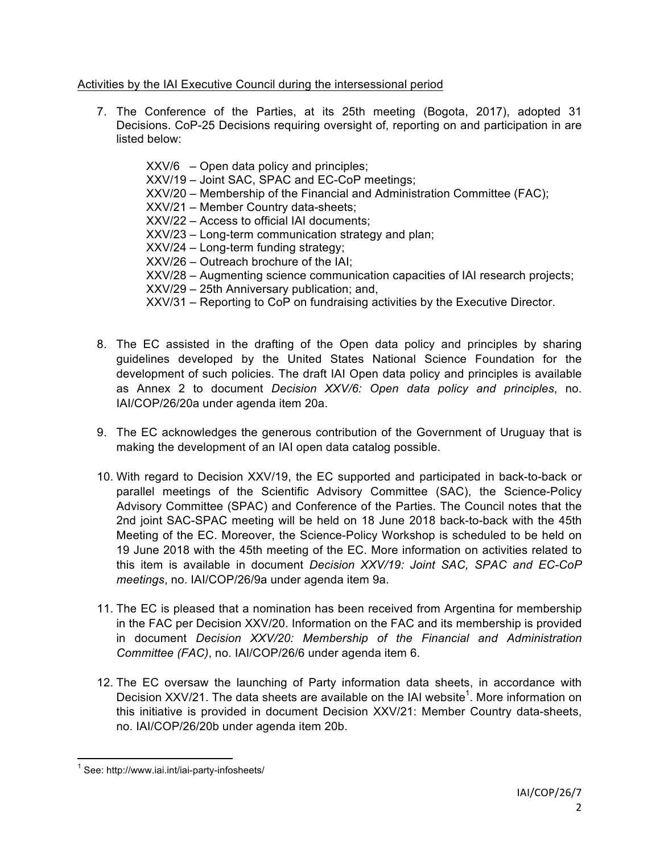# Activities by the IAI Executive Council during the intersessional period

7. The Conference of the Parties, at its 25th meeting (Bogota, 2017), adopted 31 Decisions. CoP-25 Decisions requiring oversight of, reporting on and participation in are listed below:

XXV/6 – Open data policy and principles; XXV/19 – Joint SAC, SPAC and EC-CoP meetings; XXV/20 – Membership of the Financial and Administration Committee (FAC); XXV/21 – Member Country data-sheets; XXV/22 – Access to official IAI documents; XXV/23 – Long-term communication strategy and plan; XXV/24 – Long-term funding strategy; XXV/26 – Outreach brochure of the IAI; XXV/28 – Augmenting science communication capacities of IAI research projects; XXV/29 – 25th Anniversary publication; and, XXV/31 – Reporting to CoP on fundraising activities by the Executive Director.

- 8. The EC assisted in the drafting of the Open data policy and principles by sharing guidelines developed by the United States National Science Foundation for the development of such policies. The draft IAI Open data policy and principles is available as Annex 2 to document *Decision XXV/6: Open data policy and principles*, no. IAI/COP/26/20a under agenda item 20a.
- 9. The EC acknowledges the generous contribution of the Government of Uruguay that is making the development of an IAI open data catalog possible.
- 10. With regard to Decision XXV/19, the EC supported and participated in back-to-back or parallel meetings of the Scientific Advisory Committee (SAC), the Science-Policy Advisory Committee (SPAC) and Conference of the Parties. The Council notes that the 2nd joint SAC-SPAC meeting will be held on 18 June 2018 back-to-back with the 45th Meeting of the EC. Moreover, the Science-Policy Workshop is scheduled to be held on 19 June 2018 with the 45th meeting of the EC. More information on activities related to this item is available in document *Decision XXV/19: Joint SAC, SPAC and EC-CoP meetings*, no. IAI/COP/26/9a under agenda item 9a.
- 11. The EC is pleased that a nomination has been received from Argentina for membership in the FAC per Decision XXV/20. Information on the FAC and its membership is provided in document *Decision XXV/20: Membership of the Financial and Administration Committee (FAC)*, no. IAI/COP/26/6 under agenda item 6.
- 12. The EC oversaw the launching of Party information data sheets, in accordance with Decision XXV/21. The data sheets are available on the IAI website<sup>1</sup>. More information on this initiative is provided in document Decision XXV/21: Member Country data-sheets, no. IAI/COP/26/20b under agenda item 20b.

<sup>&</sup>lt;sup>1</sup> See: http://www.iai.int/iai-party-infosheets/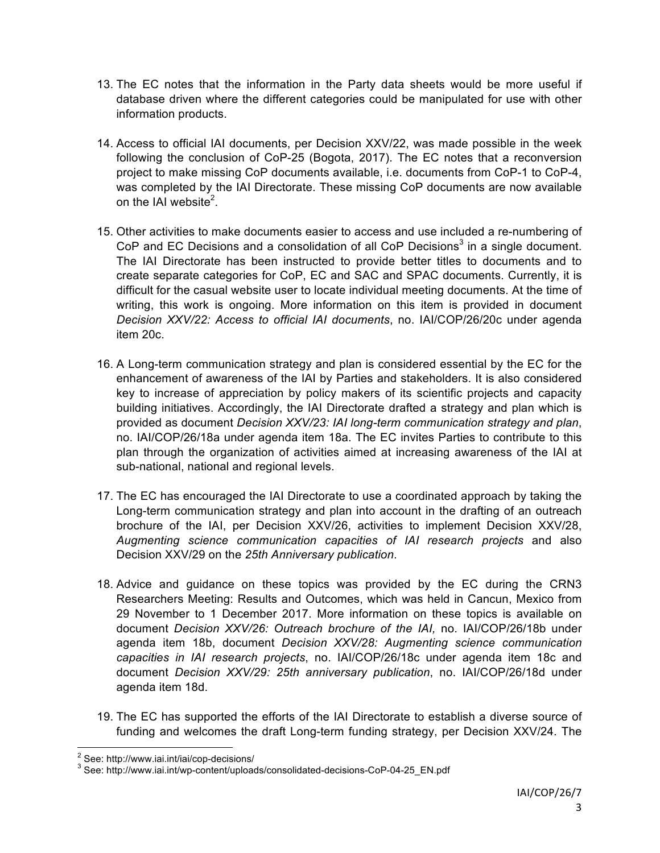- 13. The EC notes that the information in the Party data sheets would be more useful if database driven where the different categories could be manipulated for use with other information products.
- 14. Access to official IAI documents, per Decision XXV/22, was made possible in the week following the conclusion of CoP-25 (Bogota, 2017). The EC notes that a reconversion project to make missing CoP documents available, i.e. documents from CoP-1 to CoP-4, was completed by the IAI Directorate. These missing CoP documents are now available on the IAI website<sup>2</sup>.
- 15. Other activities to make documents easier to access and use included a re-numbering of CoP and EC Decisions and a consolidation of all CoP Decisions<sup>3</sup> in a single document. The IAI Directorate has been instructed to provide better titles to documents and to create separate categories for CoP, EC and SAC and SPAC documents. Currently, it is difficult for the casual website user to locate individual meeting documents. At the time of writing, this work is ongoing. More information on this item is provided in document *Decision XXV/22: Access to official IAI documents*, no. IAI/COP/26/20c under agenda item 20c.
- 16. A Long-term communication strategy and plan is considered essential by the EC for the enhancement of awareness of the IAI by Parties and stakeholders. It is also considered key to increase of appreciation by policy makers of its scientific projects and capacity building initiatives. Accordingly, the IAI Directorate drafted a strategy and plan which is provided as document *Decision XXV/23: IAI long-term communication strategy and plan*, no. IAI/COP/26/18a under agenda item 18a. The EC invites Parties to contribute to this plan through the organization of activities aimed at increasing awareness of the IAI at sub-national, national and regional levels.
- 17. The EC has encouraged the IAI Directorate to use a coordinated approach by taking the Long-term communication strategy and plan into account in the drafting of an outreach brochure of the IAI, per Decision XXV/26, activities to implement Decision XXV/28, *Augmenting science communication capacities of IAI research projects* and also Decision XXV/29 on the *25th Anniversary publication*.
- 18. Advice and guidance on these topics was provided by the EC during the CRN3 Researchers Meeting: Results and Outcomes, which was held in Cancun, Mexico from 29 November to 1 December 2017. More information on these topics is available on document *Decision XXV/26: Outreach brochure of the IAI,* no. IAI/COP/26/18b under agenda item 18b, document *Decision XXV/28: Augmenting science communication capacities in IAI research projects*, no. IAI/COP/26/18c under agenda item 18c and document *Decision XXV/29: 25th anniversary publication*, no. IAI/COP/26/18d under agenda item 18d.
- 19. The EC has supported the efforts of the IAI Directorate to establish a diverse source of funding and welcomes the draft Long-term funding strategy, per Decision XXV/24. The

<sup>&</sup>lt;sup>2</sup> See: http://www.iai.int/iai/cop-decisions/<br><sup>3</sup> See: http://www.iai.int/wp-content/uploads/consolidated-decisions-CoP-04-25\_EN.pdf